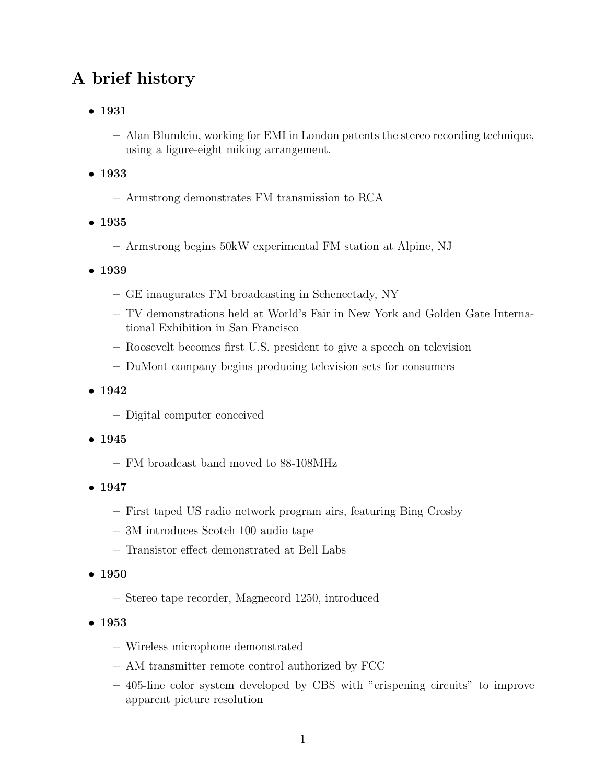## **A brief history**

- **1931**
	- **–** Alan Blumlein, working for EMI in London patents the stereo recording technique, using a figure-eight miking arrangement.
- **1933**
	- **–** Armstrong demonstrates FM transmission to RCA
- **1935**
	- **–** Armstrong begins 50kW experimental FM station at Alpine, NJ
- **1939**
	- **–** GE inaugurates FM broadcasting in Schenectady, NY
	- **–** TV demonstrations held at World's Fair in New York and Golden Gate International Exhibition in San Francisco
	- **–** Roosevelt becomes first U.S. president to give a speech on television
	- **–** DuMont company begins producing television sets for consumers
- **1942**
	- **–** Digital computer conceived
- **1945**
	- **–** FM broadcast band moved to 88-108MHz
- **1947**
	- **–** First taped US radio network program airs, featuring Bing Crosby
	- **–** 3M introduces Scotch 100 audio tape
	- **–** Transistor effect demonstrated at Bell Labs
- **1950**
	- **–** Stereo tape recorder, Magnecord 1250, introduced
- **1953**
	- **–** Wireless microphone demonstrated
	- **–** AM transmitter remote control authorized by FCC
	- **–** 405-line color system developed by CBS with "crispening circuits" to improve apparent picture resolution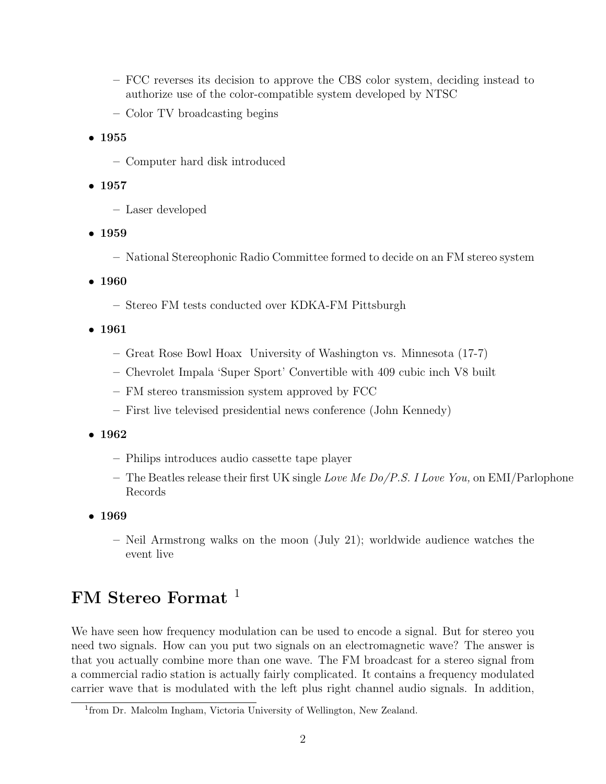- **–** FCC reverses its decision to approve the CBS color system, deciding instead to authorize use of the color-compatible system developed by NTSC
- **–** Color TV broadcasting begins
- **1955**
	- **–** Computer hard disk introduced
- **1957**
	- **–** Laser developed
- **1959**
	- **–** National Stereophonic Radio Committee formed to decide on an FM stereo system
- **1960**
	- **–** Stereo FM tests conducted over KDKA-FM Pittsburgh
- **1961**
	- **–** Great Rose Bowl Hoax University of Washington vs. Minnesota (17-7)
	- **–** Chevrolet Impala 'Super Sport' Convertible with 409 cubic inch V8 built
	- **–** FM stereo transmission system approved by FCC
	- **–** First live televised presidential news conference (John Kennedy)
- **1962**
	- **–** Philips introduces audio cassette tape player
	- **–** The Beatles release their first UK single Love Me Do/P.S. I Love You, on EMI/Parlophone Records
- **1969**
	- **–** Neil Armstrong walks on the moon (July 21); worldwide audience watches the event live

## **FM Stereo Format** <sup>1</sup>

We have seen how frequency modulation can be used to encode a signal. But for stereo you need two signals. How can you put two signals on an electromagnetic wave? The answer is that you actually combine more than one wave. The FM broadcast for a stereo signal from a commercial radio station is actually fairly complicated. It contains a frequency modulated carrier wave that is modulated with the left plus right channel audio signals. In addition,

<sup>1</sup>from Dr. Malcolm Ingham, Victoria University of Wellington, New Zealand.